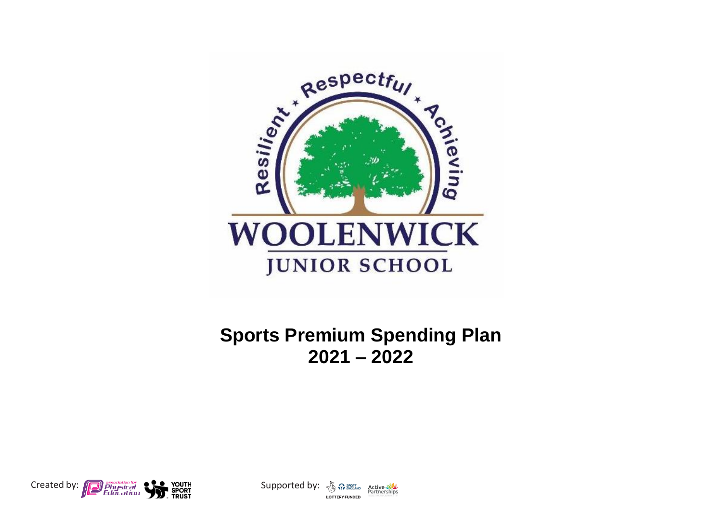

## **Sports Premium Spending Plan 2021 – 2022**



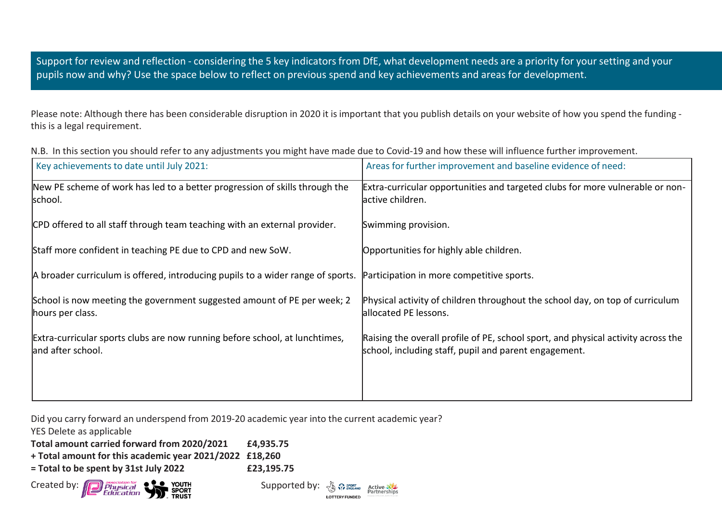Support for review and reflection - considering the 5 key indicators from DfE, what development needs are a priority for your setting and your pupils now and why? Use the space below to reflect on previous spend and key achievements and areas for development.

Please note: Although there has been considerable disruption in 2020 it is important that you publish details on your website of how you spend the funding this is a legal requirement.

| Key achievements to date until July 2021:                                                        | Areas for further improvement and baseline evidence of need:                                                                               |
|--------------------------------------------------------------------------------------------------|--------------------------------------------------------------------------------------------------------------------------------------------|
| New PE scheme of work has led to a better progression of skills through the<br>school.           | Extra-curricular opportunities and targeted clubs for more vulnerable or non-<br>lactive children.                                         |
| CPD offered to all staff through team teaching with an external provider.                        | Swimming provision.                                                                                                                        |
| Staff more confident in teaching PE due to CPD and new SoW.                                      | Opportunities for highly able children.                                                                                                    |
| A broader curriculum is offered, introducing pupils to a wider range of sports.                  | Participation in more competitive sports.                                                                                                  |
| School is now meeting the government suggested amount of PE per week; 2<br>hours per class.      | Physical activity of children throughout the school day, on top of curriculum<br>allocated PE lessons.                                     |
| Extra-curricular sports clubs are now running before school, at lunchtimes,<br>and after school. | Raising the overall profile of PE, school sport, and physical activity across the<br>school, including staff, pupil and parent engagement. |

N.B. In this section you should refer to any adjustments you might have made due to Covid-19 and how these will influence further improvement.

Did you carry forward an underspend from 2019-20 academic year into the current academic year?

YES Delete as applicable

**Total amount carried forward from 2020/2021 £4,935.75**

**+ Total amount for this academic year 2021/2022 £18,260**

**= Total to be spent by 31st July 2022 £23,195.75**



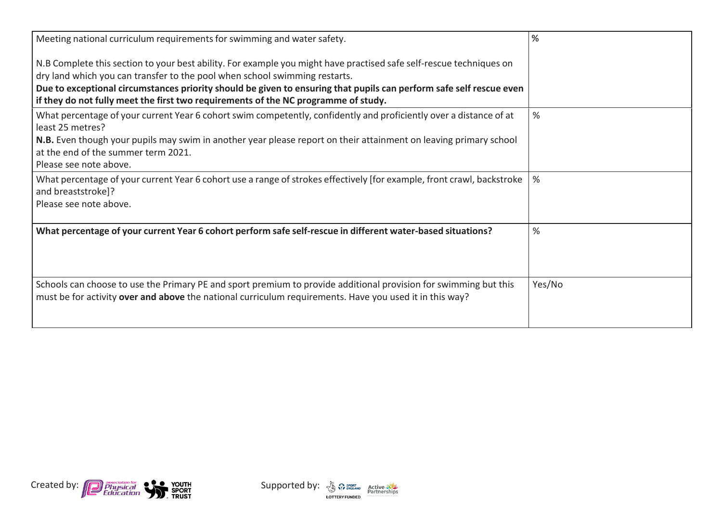| Meeting national curriculum requirements for swimming and water safety.                                                                                                                                                     | ℅             |
|-----------------------------------------------------------------------------------------------------------------------------------------------------------------------------------------------------------------------------|---------------|
| N.B Complete this section to your best ability. For example you might have practised safe self-rescue techniques on                                                                                                         |               |
| dry land which you can transfer to the pool when school swimming restarts.                                                                                                                                                  |               |
| Due to exceptional circumstances priority should be given to ensuring that pupils can perform safe self rescue even<br>if they do not fully meet the first two requirements of the NC programme of study.                   |               |
| What percentage of your current Year 6 cohort swim competently, confidently and proficiently over a distance of at<br>least 25 metres?                                                                                      | %             |
| N.B. Even though your pupils may swim in another year please report on their attainment on leaving primary school                                                                                                           |               |
| at the end of the summer term 2021.                                                                                                                                                                                         |               |
| Please see note above.                                                                                                                                                                                                      |               |
| What percentage of your current Year 6 cohort use a range of strokes effectively [for example, front crawl, backstroke<br>and breaststroke]?                                                                                | $\frac{9}{6}$ |
| Please see note above.                                                                                                                                                                                                      |               |
| What percentage of your current Year 6 cohort perform safe self-rescue in different water-based situations?                                                                                                                 | %             |
|                                                                                                                                                                                                                             |               |
| Schools can choose to use the Primary PE and sport premium to provide additional provision for swimming but this<br>must be for activity over and above the national curriculum requirements. Have you used it in this way? | Yes/No        |



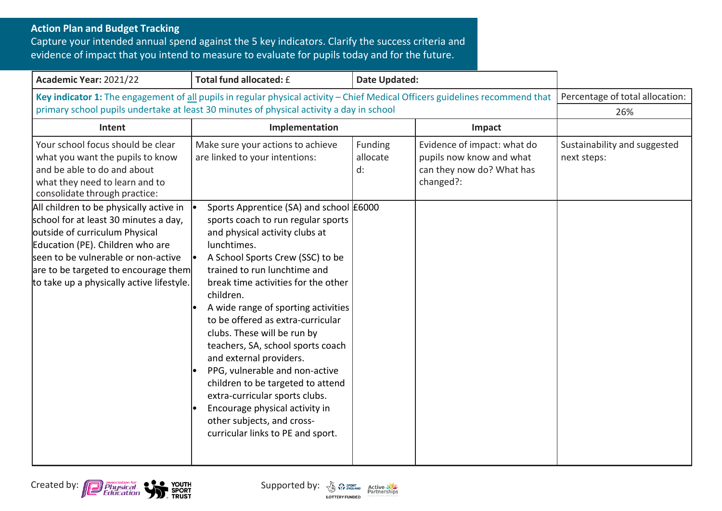## **Action Plan and Budget Tracking**

Capture your intended annual spend against the 5 key indicators. Clarify the success criteria and evidence of impact that you intend to measure to evaluate for pupils today and for the future.

| Academic Year: 2021/22                                                                                                                                                                                                                                                             | Total fund allocated: £                                                                                                                                                                                                                                                                                                                                                                                                                                                                                                                                                                                                                         | <b>Date Updated:</b>      |                                                                                                   |                                             |
|------------------------------------------------------------------------------------------------------------------------------------------------------------------------------------------------------------------------------------------------------------------------------------|-------------------------------------------------------------------------------------------------------------------------------------------------------------------------------------------------------------------------------------------------------------------------------------------------------------------------------------------------------------------------------------------------------------------------------------------------------------------------------------------------------------------------------------------------------------------------------------------------------------------------------------------------|---------------------------|---------------------------------------------------------------------------------------------------|---------------------------------------------|
| Key indicator 1: The engagement of all pupils in regular physical activity - Chief Medical Officers guidelines recommend that<br>primary school pupils undertake at least 30 minutes of physical activity a day in school                                                          |                                                                                                                                                                                                                                                                                                                                                                                                                                                                                                                                                                                                                                                 |                           | Percentage of total allocation:<br>26%                                                            |                                             |
| Intent                                                                                                                                                                                                                                                                             | Implementation<br>Impact                                                                                                                                                                                                                                                                                                                                                                                                                                                                                                                                                                                                                        |                           |                                                                                                   |                                             |
| Your school focus should be clear<br>what you want the pupils to know<br>and be able to do and about<br>what they need to learn and to<br>consolidate through practice:                                                                                                            | Make sure your actions to achieve<br>are linked to your intentions:                                                                                                                                                                                                                                                                                                                                                                                                                                                                                                                                                                             | Funding<br>allocate<br>d: | Evidence of impact: what do<br>pupils now know and what<br>can they now do? What has<br>changed?: | Sustainability and suggested<br>next steps: |
| All children to be physically active in<br>school for at least 30 minutes a day,<br>outside of curriculum Physical<br>Education (PE). Children who are<br>seen to be vulnerable or non-active<br>are to be targeted to encourage them<br>to take up a physically active lifestyle. | Sports Apprentice (SA) and school £6000<br>sports coach to run regular sports<br>and physical activity clubs at<br>lunchtimes.<br>A School Sports Crew (SSC) to be<br>trained to run lunchtime and<br>break time activities for the other<br>children.<br>A wide range of sporting activities<br>to be offered as extra-curricular<br>clubs. These will be run by<br>teachers, SA, school sports coach<br>and external providers.<br>PPG, vulnerable and non-active<br>children to be targeted to attend<br>extra-curricular sports clubs.<br>Encourage physical activity in<br>other subjects, and cross-<br>curricular links to PE and sport. |                           |                                                                                                   |                                             |





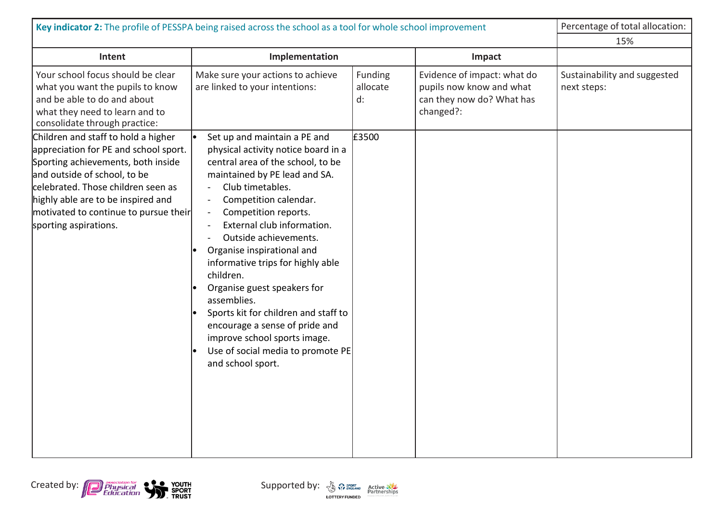| Key indicator 2: The profile of PESSPA being raised across the school as a tool for whole school improvement                                                                                                                                              |                                                                                                                                                                                                                                                                                                                                                                                                                                                                                                                                                                                               | Percentage of total allocation:    |                                                                                                   |                                             |
|-----------------------------------------------------------------------------------------------------------------------------------------------------------------------------------------------------------------------------------------------------------|-----------------------------------------------------------------------------------------------------------------------------------------------------------------------------------------------------------------------------------------------------------------------------------------------------------------------------------------------------------------------------------------------------------------------------------------------------------------------------------------------------------------------------------------------------------------------------------------------|------------------------------------|---------------------------------------------------------------------------------------------------|---------------------------------------------|
|                                                                                                                                                                                                                                                           |                                                                                                                                                                                                                                                                                                                                                                                                                                                                                                                                                                                               | 15%                                |                                                                                                   |                                             |
| Intent                                                                                                                                                                                                                                                    | Implementation                                                                                                                                                                                                                                                                                                                                                                                                                                                                                                                                                                                |                                    | Impact                                                                                            |                                             |
| Your school focus should be clear<br>what you want the pupils to know<br>and be able to do and about<br>what they need to learn and to<br>consolidate through practice:<br>Children and staff to hold a higher                                            | Make sure your actions to achieve<br>are linked to your intentions:<br>Set up and maintain a PE and                                                                                                                                                                                                                                                                                                                                                                                                                                                                                           | Funding<br>allocate<br>d:<br>£3500 | Evidence of impact: what do<br>pupils now know and what<br>can they now do? What has<br>changed?: | Sustainability and suggested<br>next steps: |
| appreciation for PE and school sport.<br>Sporting achievements, both inside<br>and outside of school, to be<br>celebrated. Those children seen as<br>highly able are to be inspired and<br>motivated to continue to pursue their<br>sporting aspirations. | physical activity notice board in a<br>central area of the school, to be<br>maintained by PE lead and SA.<br>Club timetables.<br>Competition calendar.<br>$\blacksquare$<br>Competition reports.<br>$\blacksquare$<br>External club information.<br>$\overline{a}$<br>Outside achievements.<br>Organise inspirational and<br>informative trips for highly able<br>children.<br>Organise guest speakers for<br>assemblies.<br>Sports kit for children and staff to<br>encourage a sense of pride and<br>improve school sports image.<br>Use of social media to promote PE<br>and school sport. |                                    |                                                                                                   |                                             |



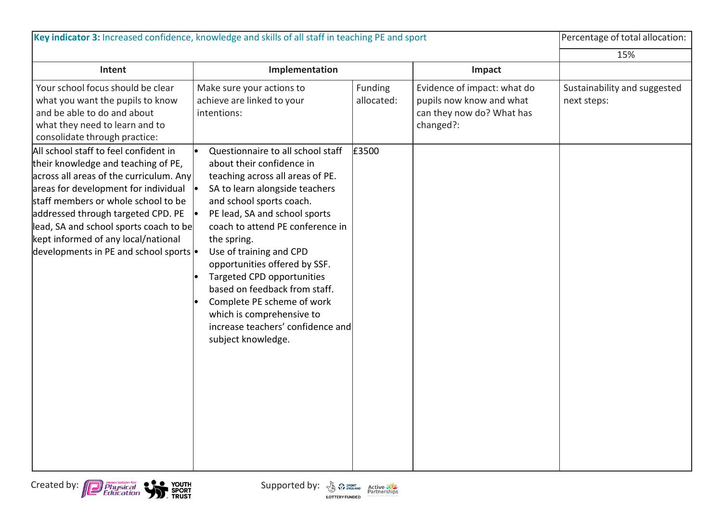|                                                                                                                                                                                                                                                                                                                                                       | Key indicator 3: Increased confidence, knowledge and skills of all staff in teaching PE and sport                                                                                                                                                                                                                                                                                                                                                                |                                |                                                                                                   | Percentage of total allocation:             |
|-------------------------------------------------------------------------------------------------------------------------------------------------------------------------------------------------------------------------------------------------------------------------------------------------------------------------------------------------------|------------------------------------------------------------------------------------------------------------------------------------------------------------------------------------------------------------------------------------------------------------------------------------------------------------------------------------------------------------------------------------------------------------------------------------------------------------------|--------------------------------|---------------------------------------------------------------------------------------------------|---------------------------------------------|
|                                                                                                                                                                                                                                                                                                                                                       |                                                                                                                                                                                                                                                                                                                                                                                                                                                                  |                                |                                                                                                   | 15%                                         |
| Intent                                                                                                                                                                                                                                                                                                                                                | Implementation                                                                                                                                                                                                                                                                                                                                                                                                                                                   |                                | Impact                                                                                            |                                             |
| Your school focus should be clear<br>what you want the pupils to know<br>and be able to do and about<br>what they need to learn and to<br>consolidate through practice:<br>All school staff to feel confident in                                                                                                                                      | Make sure your actions to<br>achieve are linked to your<br>intentions:<br>Questionnaire to all school staff                                                                                                                                                                                                                                                                                                                                                      | Funding<br>allocated:<br>£3500 | Evidence of impact: what do<br>pupils now know and what<br>can they now do? What has<br>changed?: | Sustainability and suggested<br>next steps: |
| their knowledge and teaching of PE,<br>across all areas of the curriculum. Any<br>$\frac{1}{2}$ areas for development for individual $\cdot$<br>staff members or whole school to be<br>addressed through targeted CPD. PE<br>lead, SA and school sports coach to be<br>kept informed of any local/national<br>developments in PE and school sports  . | about their confidence in<br>teaching across all areas of PE.<br>SA to learn alongside teachers<br>and school sports coach.<br>PE lead, SA and school sports<br>coach to attend PE conference in<br>the spring.<br>Use of training and CPD<br>opportunities offered by SSF.<br>Targeted CPD opportunities<br>based on feedback from staff.<br>Complete PE scheme of work<br>which is comprehensive to<br>increase teachers' confidence and<br>subject knowledge. |                                |                                                                                                   |                                             |

Created by: Physical Physical Created by:  $\frac{1}{2}$  Physical Education **Supported by:** Supported by:  $\frac{1}{2}$  Partnerships

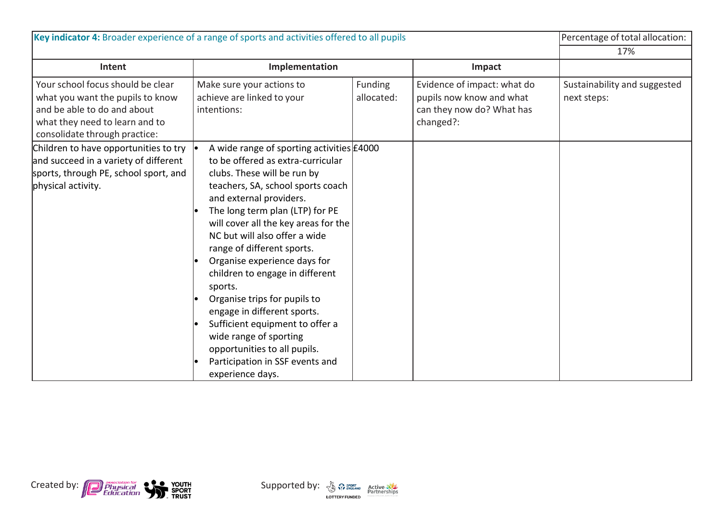|                                                                                                                                                                         | Key indicator 4: Broader experience of a range of sports and activities offered to all pupils                                                                                                                                                                                                                                                                                                                                                                                                                                                                                                                            |                       |                                                                                                   | Percentage of total allocation:<br>17%      |
|-------------------------------------------------------------------------------------------------------------------------------------------------------------------------|--------------------------------------------------------------------------------------------------------------------------------------------------------------------------------------------------------------------------------------------------------------------------------------------------------------------------------------------------------------------------------------------------------------------------------------------------------------------------------------------------------------------------------------------------------------------------------------------------------------------------|-----------------------|---------------------------------------------------------------------------------------------------|---------------------------------------------|
| Intent                                                                                                                                                                  | Implementation                                                                                                                                                                                                                                                                                                                                                                                                                                                                                                                                                                                                           |                       | Impact                                                                                            |                                             |
| Your school focus should be clear<br>what you want the pupils to know<br>and be able to do and about<br>what they need to learn and to<br>consolidate through practice: | Make sure your actions to<br>achieve are linked to your<br>intentions:                                                                                                                                                                                                                                                                                                                                                                                                                                                                                                                                                   | Funding<br>allocated: | Evidence of impact: what do<br>pupils now know and what<br>can they now do? What has<br>changed?: | Sustainability and suggested<br>next steps: |
| Children to have opportunities to try<br>and succeed in a variety of different<br>sports, through PE, school sport, and<br>physical activity.                           | A wide range of sporting activities £4000<br>to be offered as extra-curricular<br>clubs. These will be run by<br>teachers, SA, school sports coach<br>and external providers.<br>The long term plan (LTP) for PE<br>will cover all the key areas for the<br>NC but will also offer a wide<br>range of different sports.<br>Organise experience days for<br>children to engage in different<br>sports.<br>Organise trips for pupils to<br>engage in different sports.<br>Sufficient equipment to offer a<br>wide range of sporting<br>opportunities to all pupils.<br>Participation in SSF events and<br>experience days. |                       |                                                                                                   |                                             |